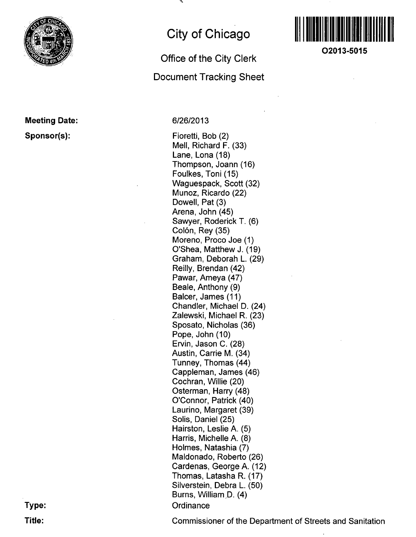

## **Meeting Date: Sponsor(s):**

# **City of Chicago**

## **Office of the City Clerk Document Tracking Sheet**

## 6/26/2013

Fioretti, Bob (2) Mell, Richard F. (33) Lane, Lona (18) Thompson, Joann (16) Foulkes, Toni (15) Waguespack, Scott (32) Munoz, Ricardo (22) Dowell, Pat (3) Arena, John (45) Sawyer, Roderick T. (6) Colón, Rey (35) Moreno, Proco Joe (1) O'Shea, Matthew J. (19) Graham, Deborah L. (29) Reilly, Brendan (42) Pawar, Ameya (47) Beale, Anthony (9) Balcer, James (11) Chandler, Michael D. (24) ZaIewski, Michael R. (23) Sposato, Nicholas (36) Pope, John (10) Ervin, Jason C. (28) Austin, Carrie M. (34) Tunney, Thomas (44) Cappleman, James (46) Cochran, Willie (20) Osterman, Harry (48) O'Connor, Patrick (40) Laurino, Margaret (39) Solis, Daniel (25) Hairston, Leslie A. (5) Harris, Michelle A. (8) Holmes, Natashia (7) Maldonado, Roberto (26) Cardenas, George A. (12) Thomas, Latasha R. (17) Silverstein, Debra L. (50) Burns, William D. (4) **Ordinance** 



**O2013-5015** 

**Type: Title:** 

Commissioner of the Department of Streets and Sanitation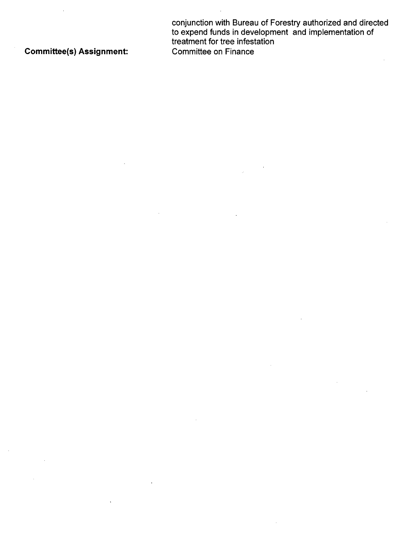conjunction with Bureau of Forestry authorized and directed to expend funds in development and implementation of treatment for tree infestation Committee(s) Assignment: Committee on Finance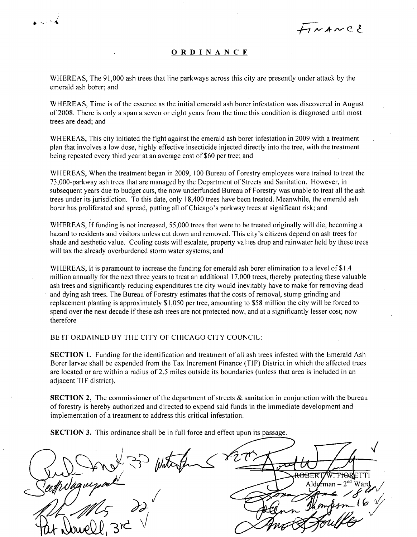フルANCと

### **ORDINANC E**

WHEREAS, The 91,000 ash trees that line parkways across this city are presently under attack by the emerald ash borer; and

ن<br>محمد مق

WHEREAS, Time is of the essence as the initial emerald ash borer infestation was discovered in August of 2008. There is only a span a seven or eight years from the time this condition is diagnosed until most trees are dead; and

WHEREAS, This city initiated the fight against the emerald ash borer infestation in 2009 with a treatment plan that involves a low dose, highly effective insecticide injected directly into the tree, with the treatment being repeated every third year at an average cost of \$60 per tree; and

WHEREAS, When the treatment began in 2009, 100 Bureau of Forestry employees were trained to treat the 73,000-parkway ash trees that are managed by the Department of Streets and Sanitation. However, in subsequent years due to budget cuts, the now underfunded Bureau of Forestry was unable to treat all the ash trees under its jurisdiction. To this date, only 18,400 trees have been treated. Meanwhile, the emerald ash borer has proliferated and spread, putting all of Chicago's parkway trees at significant risk; and

WHEREAS, If funding is not increased, 55,000 trees that were to be treated originally will die, becoming a hazard to residents and visitors unless cut down and removed. This city's citizens depend on ash trees for shade and aesthetic value. Cooling costs will escalate, property values drop and rainwater held by these trees will tax the already overburdened storm water systems; and

WHEREAS, It is paramount to increase the funding for emerald ash borer elimination to a level of \$1.4 million annually for the next three years to treat an additional 17,000 trees, thereby protecting these valuable ash trees and significantly reducing expenditures the city would inevitably have to make for removing dead and dying ash trees. The Bureau of Forestry estimates that the costs of removal, stump grinding and replacement planting is approximately \$1,050 per tree, amounting to \$58 million the city will be forced to spend over the next decade if these ash trees are not protected now, and at a significantly lesser cost; now therefore

BE IT ORDAINED BY THE CITY OF CHICAGO CITY COUNCIL:

SECTION 1. Funding for the identification and treatment of all ash trees infested with the Emerald Ash Borer larvae shall be expended from the Tax Increment Finance (TIF) District in which the affected trees are located or are within a radius of 2.5 miles outside its boundaries (unless that area is included in an adjacent TIF district).

SECTION 2. The commissioner of the department of streets  $\&$  sanitation in conjunction with the bureau of forestry is hereby authorized and directed to expend said funds in the immediate development and implementation of a treatment to address this critical infestation.

SECTION 3. This ordinance shall be in full force and effect upon its passage.

TTI oosth Sugu Alderman 'arc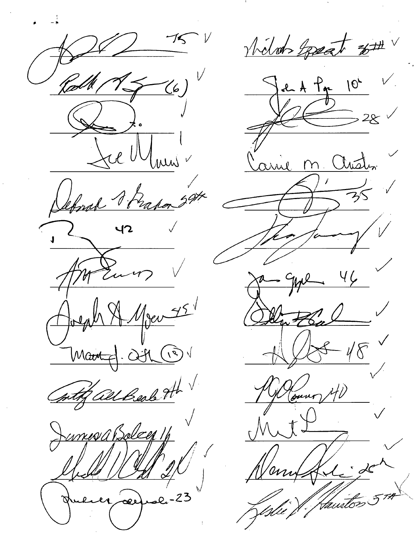$\frac{1}{16}$  $\ddot{\mathbf{c}}$ re U Conch Trada  $407$ Le Men 75 Martin 27 with all Beal H Jumes a Beleg 1/1 ali<sup>-</sup> .<br>مو

Niloh Losant 8th